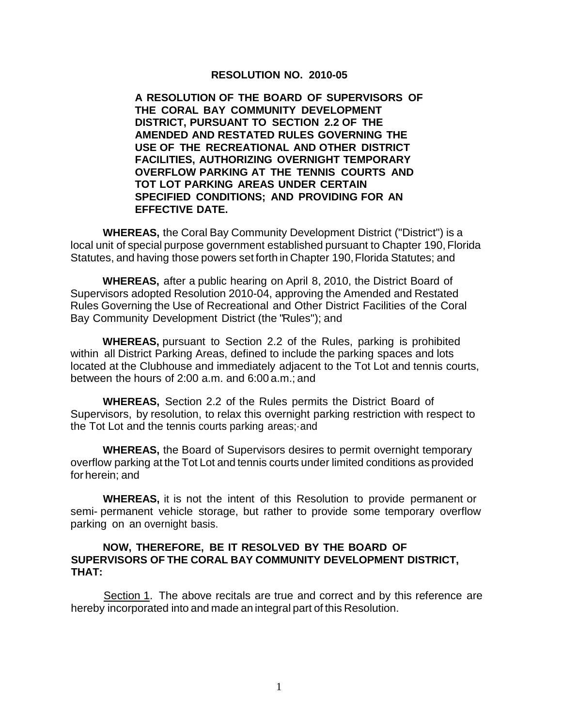## **RESOLUTION NO. 2010-05**

**A RESOLUTION OF THE BOARD OF SUPERVISORS OF THE CORAL BAY COMMUNITY DEVELOPMENT DISTRICT, PURSUANT TO SECTION 2.2 OF THE AMENDED AND RESTATED RULES GOVERNING THE USE OF THE RECREATIONAL AND OTHER DISTRICT FACILITIES, AUTHORIZING OVERNIGHT TEMPORARY OVERFLOW PARKING AT THE TENNIS COURTS AND TOT LOT PARKING AREAS UNDER CERTAIN SPECIFIED CONDITIONS; AND PROVIDING FOR AN EFFECTIVE DATE.**

**WHEREAS,** the Coral Bay Community Development District ("District") is a local unit of special purpose government established pursuant to Chapter 190, Florida Statutes, and having those powers set forth in Chapter 190, Florida Statutes; and

**WHEREAS,** after a public hearing on April 8, 2010, the District Board of Supervisors adopted Resolution 2010-04, approving the Amended and Restated Rules Governing the Use of Recreational and Other District Facilities of the Coral Bay Community Development District (the "Rules"); and

**WHEREAS,** pursuant to Section 2.2 of the Rules, parking is prohibited within all District Parking Areas, defined to include the parking spaces and lots located at the Clubhouse and immediately adjacent to the Tot Lot and tennis courts, between the hours of 2:00 a.m. and 6:00 a.m.; and

**WHEREAS,** Section 2.2 of the Rules permits the District Board of Supervisors, by resolution, to relax this overnight parking restriction with respect to the Tot Lot and the tennis courts parking areas;·and

**WHEREAS,** the Board of Supervisors desires to permit overnight temporary overflow parking at the Tot Lot and tennis courts under limited conditions as provided for herein; and

**WHEREAS,** it is not the intent of this Resolution to provide permanent or semi- permanent vehicle storage, but rather to provide some temporary overflow parking on an overnight basis.

## **NOW, THEREFORE, BE IT RESOLVED BY THE BOARD OF SUPERVISORS OF THE CORAL BAY COMMUNITY DEVELOPMENT DISTRICT, THAT:**

Section 1. The above recitals are true and correct and by this reference are hereby incorporated into and made an integral part of this Resolution.